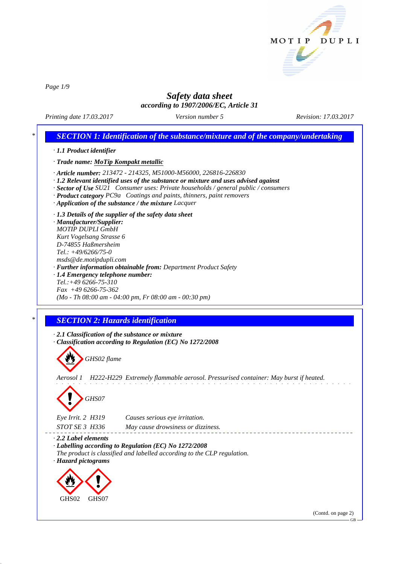

*Page 1/9*

# *Safety data sheet according to 1907/2006/EC, Article 31*

*Printing date 17.03.2017 Version number 5 Revision: 17.03.2017*

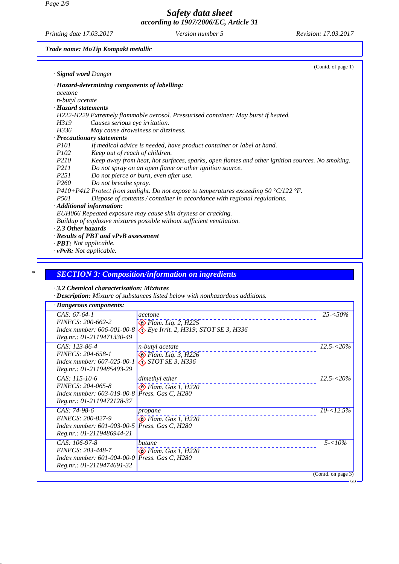*Page 2/9*

*Safety data sheet according to 1907/2006/EC, Article 31*

*Printing date 17.03.2017 Version number 5 Revision: 17.03.2017*

*Trade name: MoTip Kompakt metallic*

|                           | (Contd. of page 1)                                                                             |
|---------------------------|------------------------------------------------------------------------------------------------|
|                           | · Signal word Danger                                                                           |
|                           | · Hazard-determining components of labelling:                                                  |
| acetone                   |                                                                                                |
| n-butyl acetate           |                                                                                                |
| · Hazard statements       |                                                                                                |
|                           | H222-H229 Extremely flammable aerosol. Pressurised container: May burst if heated.             |
| H319                      | Causes serious eye irritation.                                                                 |
| H336                      | May cause drowsiness or dizziness.                                                             |
|                           | · Precautionary statements                                                                     |
| <i>P101</i>               | If medical advice is needed, have product container or label at hand.                          |
| <i>P102</i>               | Keep out of reach of children.                                                                 |
| P <sub>210</sub>          | Keep away from heat, hot surfaces, sparks, open flames and other ignition sources. No smoking. |
| P211                      | Do not spray on an open flame or other ignition source.                                        |
| P <sub>251</sub>          | Do not pierce or burn, even after use.                                                         |
| P <sub>260</sub>          | Do not breathe spray.                                                                          |
|                           | P410+P412 Protect from sunlight. Do not expose to temperatures exceeding 50 °C/122 °F.         |
| <i>P501</i>               | Dispose of contents / container in accordance with regional regulations.                       |
|                           | · Additional information:                                                                      |
|                           | EUH066 Repeated exposure may cause skin dryness or cracking.                                   |
|                           | Buildup of explosive mixtures possible without sufficient ventilation.                         |
| $\cdot$ 2.3 Other hazards |                                                                                                |
|                           | · Results of PBT and vPvB assessment                                                           |
|                           | $\cdot$ <b>PBT</b> : Not applicable.                                                           |
|                           | $\cdot v$ PvB: Not applicable.                                                                 |

# *\* SECTION 3: Composition/information on ingredients*

*· 3.2 Chemical characterisation: Mixtures*

*· Description: Mixture of substances listed below with nonhazardous additions.*

| · Dangerous components:                                                                                            |                                                                                                                                                    |                             |
|--------------------------------------------------------------------------------------------------------------------|----------------------------------------------------------------------------------------------------------------------------------------------------|-----------------------------|
| $CAS: 67-64-1$<br>EINECS: 200-662-2<br>Reg.nr.: 01-2119471330-49                                                   | acetone<br>$\bigotimes$ Flam. Liq. 2, H225<br><i>Index number:</i> 606-001-00-8 $\langle \cdot \rangle$ <i>Eye Irrit. 2, H319; STOT SE 3, H336</i> | $25 - 50\%$                 |
| $CAS: 123-86-4$<br>EINECS: 204-658-1<br>Index number: 607-025-00-1<br>Reg.nr.: 01-2119485493-29                    | n-butyl acetate<br>$\bigotimes$ Flam. Liq. 3, H226<br>$\bigotimes$ STOT SE 3, H336                                                                 | $12.5 - 520\%$              |
| $CAS: 115-10-6$<br>EINECS: 204-065-8<br>Index number: 603-019-00-8 Press. Gas C, H280<br>Reg.nr.: 01-2119472128-37 | dimethyl ether<br>$\diamondsuit$ Flam. Gas 1, H220                                                                                                 | $12.5 - 5.20\%$             |
| CAS: 74-98-6<br>EINECS: 200-827-9<br><i>Index number:</i> 601-003-00-5<br>Reg.nr.: 01-2119486944-21                | propane<br>$\diamondsuit$ Flam. Gas 1, H220<br>Press. Gas C, H280                                                                                  | $10 - 12.5\%$               |
| CAS: 106-97-8<br>EINECS: 203-448-7<br>Index number: 601-004-00-0 Press. Gas C, H280<br>Reg.nr.: 01-2119474691-32   | butane<br>$\bigotimes$ Flam. Gas 1, H220                                                                                                           | $5 - 10\%$                  |
|                                                                                                                    |                                                                                                                                                    | (Contd. on page 3)<br>$-GB$ |
|                                                                                                                    |                                                                                                                                                    |                             |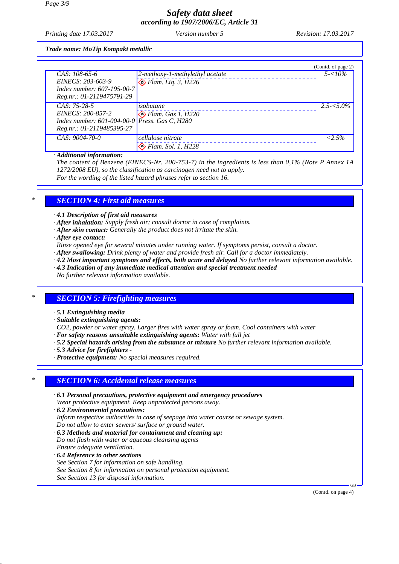*Printing date 17.03.2017 Version number 5 Revision: 17.03.2017*

*Trade name: MoTip Kompakt metallic*

|                                                        |                                 | (Contd. of page 2) |
|--------------------------------------------------------|---------------------------------|--------------------|
| $CAS: 108-65-6$                                        | 2-methoxy-1-methylethyl acetate | $5 - 10\%$         |
| EINECS: 203-603-9                                      | $\bigotimes$ Flam. Liq. 3, H226 |                    |
| Index number: 607-195-00-7                             |                                 |                    |
| Reg.nr.: 01-2119475791-29                              |                                 |                    |
| $CAS: 75-28-5$                                         | isobutane                       | $2.5 - 5.0\%$      |
| EINECS: 200-857-2                                      | $\diamond$ Flam. Gas 1, H220    |                    |
| Index number: $601-004-00-0$ <i>Press. Gas C, H280</i> |                                 |                    |
| Reg.nr.: 01-2119485395-27                              |                                 |                    |
| $CAS: 9004-70-0$                                       | cellulose nitrate               | $< 2.5\%$          |
|                                                        | $\bigotimes$ Flam. Sol. 1, H228 |                    |

#### *· Additional information:*

*The content of Benzene (EINECS-Nr. 200-753-7) in the ingredients is less than 0,1% (Note P Annex 1A 1272/2008 EU), so the classification as carcinogen need not to apply. For the wording of the listed hazard phrases refer to section 16.*

### *\* SECTION 4: First aid measures*

*· 4.1 Description of first aid measures*

- *· After inhalation: Supply fresh air; consult doctor in case of complaints.*
- *· After skin contact: Generally the product does not irritate the skin.*
- *· After eye contact:*
- *Rinse opened eye for several minutes under running water. If symptoms persist, consult a doctor.*
- *· After swallowing: Drink plenty of water and provide fresh air. Call for a doctor immediately.*
- *· 4.2 Most important symptoms and effects, both acute and delayed No further relevant information available.*
- *· 4.3 Indication of any immediate medical attention and special treatment needed*
- *No further relevant information available.*

### *\* SECTION 5: Firefighting measures*

- *· 5.1 Extinguishing media*
- *· Suitable extinguishing agents:*
- *CO2, powder or water spray. Larger fires with water spray or foam. Cool containers with water*
- *· For safety reasons unsuitable extinguishing agents: Water with full jet*
- *· 5.2 Special hazards arising from the substance or mixture No further relevant information available.*
- *· 5.3 Advice for firefighters*
- *· Protective equipment: No special measures required.*

#### *\* SECTION 6: Accidental release measures*

- *· 6.1 Personal precautions, protective equipment and emergency procedures Wear protective equipment. Keep unprotected persons away.*
- *· 6.2 Environmental precautions: Inform respective authorities in case of seepage into water course or sewage system. Do not allow to enter sewers/ surface or ground water.*
- *· 6.3 Methods and material for containment and cleaning up: Do not flush with water or aqueous cleansing agents Ensure adequate ventilation.*
- *· 6.4 Reference to other sections See Section 7 for information on safe handling. See Section 8 for information on personal protection equipment. See Section 13 for disposal information.*

(Contd. on page 4)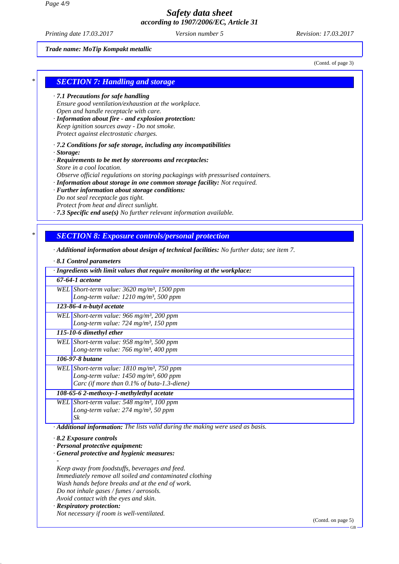*Printing date 17.03.2017 Version number 5 Revision: 17.03.2017*

*Trade name: MoTip Kompakt metallic*

(Contd. of page 3)

#### *\* SECTION 7: Handling and storage*

- *· 7.1 Precautions for safe handling Ensure good ventilation/exhaustion at the workplace. Open and handle receptacle with care.*
- *· Information about fire and explosion protection: Keep ignition sources away - Do not smoke. Protect against electrostatic charges.*
- *· 7.2 Conditions for safe storage, including any incompatibilities · Storage:*
- *· Requirements to be met by storerooms and receptacles: Store in a cool location. Observe official regulations on storing packagings with pressurised containers.*
- *· Information about storage in one common storage facility: Not required.*
- *· Further information about storage conditions:*
- *Do not seal receptacle gas tight.*
- *Protect from heat and direct sunlight.*
- *· 7.3 Specific end use(s) No further relevant information available.*

### *\* SECTION 8: Exposure controls/personal protection*

*· Additional information about design of technical facilities: No further data; see item 7.*

|  |  |  | 8.1 Control parameters |
|--|--|--|------------------------|
|--|--|--|------------------------|

| · Ingredients with limit values that require monitoring at the workplace:       |                                                           |  |  |
|---------------------------------------------------------------------------------|-----------------------------------------------------------|--|--|
| 67-64-1 acetone                                                                 |                                                           |  |  |
|                                                                                 | WEL Short-term value: $3620$ mg/m <sup>3</sup> , 1500 ppm |  |  |
|                                                                                 | Long-term value: $1210$ mg/m <sup>3</sup> , 500 ppm       |  |  |
|                                                                                 | 123-86-4 n-butyl acetate                                  |  |  |
|                                                                                 | WEL Short-term value: 966 mg/m <sup>3</sup> , 200 ppm     |  |  |
|                                                                                 | Long-term value: $724$ mg/m <sup>3</sup> , 150 ppm        |  |  |
|                                                                                 | 115-10-6 dimethyl ether                                   |  |  |
|                                                                                 | WEL Short-term value: $958$ mg/m <sup>3</sup> , 500 ppm   |  |  |
|                                                                                 | Long-term value: 766 mg/m <sup>3</sup> , 400 ppm          |  |  |
|                                                                                 | 106-97-8 butane                                           |  |  |
|                                                                                 | WEL Short-term value: $1810$ mg/m <sup>3</sup> , 750 ppm  |  |  |
|                                                                                 | Long-term value: 1450 mg/m <sup>3</sup> , 600 ppm         |  |  |
|                                                                                 | Carc (if more than $0.1\%$ of buta-1.3-diene)             |  |  |
|                                                                                 | 108-65-6 2-methoxy-1-methylethyl acetate                  |  |  |
|                                                                                 | WEL Short-term value: $548$ mg/m <sup>3</sup> , 100 ppm   |  |  |
|                                                                                 | Long-term value: $274$ mg/m <sup>3</sup> , 50 ppm         |  |  |
| Sk                                                                              |                                                           |  |  |
| · Additional information: The lists valid during the making were used as basis. |                                                           |  |  |
| $\cdot$ 8.2 Exposure controls                                                   |                                                           |  |  |
| · Personal protective equipment:                                                |                                                           |  |  |
| General protective and hygienic measures:                                       |                                                           |  |  |
|                                                                                 |                                                           |  |  |
|                                                                                 | Keep away from foodstuffs, beverages and feed.            |  |  |
|                                                                                 | Immediately remove all soiled and contaminated clothing   |  |  |

*Wash hands before breaks and at the end of work.*

*Do not inhale gases / fumes / aerosols.*

*Avoid contact with the eyes and skin.*

### *· Respiratory protection:*

*Not necessary if room is well-ventilated.*

(Contd. on page 5)

GB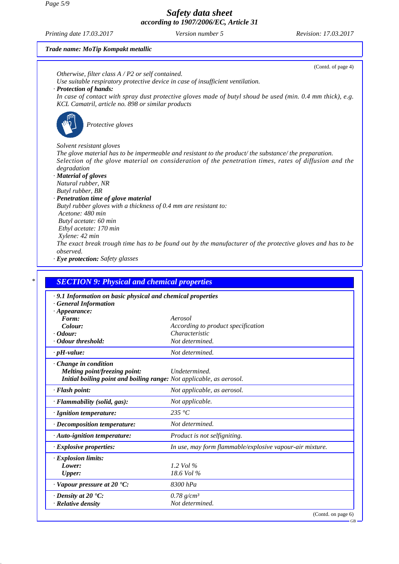*Page 5/9*

*Safety data sheet according to 1907/2006/EC, Article 31*

*Printing date 17.03.2017 Version number 5 Revision: 17.03.2017*

*Trade name: MoTip Kompakt metallic*

|                                                                                        | (Contd. of page 4)                                                                                                            |
|----------------------------------------------------------------------------------------|-------------------------------------------------------------------------------------------------------------------------------|
| Otherwise, filter class $A$ / P2 or self contained.                                    |                                                                                                                               |
| · Protection of hands:                                                                 | Use suitable respiratory protective device in case of insufficient ventilation.                                               |
|                                                                                        | In case of contact with spray dust protective gloves made of butyl shoud be used (min. 0.4 mm thick), e.g.                    |
| KCL Camatril, article no. 898 or similar products                                      |                                                                                                                               |
|                                                                                        |                                                                                                                               |
| Protective gloves                                                                      |                                                                                                                               |
| Solvent resistant gloves                                                               |                                                                                                                               |
|                                                                                        | The glove material has to be impermeable and resistant to the product/the substance/the preparation.                          |
|                                                                                        | Selection of the glove material on consideration of the penetration times, rates of diffusion and the                         |
| degradation                                                                            |                                                                                                                               |
| · Material of gloves                                                                   |                                                                                                                               |
| Natural rubber, NR<br>Butyl rubber, BR                                                 |                                                                                                                               |
| · Penetration time of glove material                                                   |                                                                                                                               |
| Butyl rubber gloves with a thickness of 0.4 mm are resistant to:                       |                                                                                                                               |
| Acetone: 480 min                                                                       |                                                                                                                               |
| Butyl acetate: 60 min                                                                  |                                                                                                                               |
| Ethyl acetate: 170 min                                                                 |                                                                                                                               |
| Xylene: 42 min                                                                         |                                                                                                                               |
|                                                                                        |                                                                                                                               |
|                                                                                        |                                                                                                                               |
| observed.                                                                              |                                                                                                                               |
|                                                                                        |                                                                                                                               |
|                                                                                        |                                                                                                                               |
| · Eye protection: Safety glasses<br><b>SECTION 9: Physical and chemical properties</b> |                                                                                                                               |
| .9.1 Information on basic physical and chemical properties                             |                                                                                                                               |
| <b>General Information</b>                                                             |                                                                                                                               |
| $\cdot$ Appearance:                                                                    |                                                                                                                               |
| Form:                                                                                  | Aerosol                                                                                                                       |
| Colour:                                                                                | According to product specification                                                                                            |
|                                                                                        | Characteristic<br>Not determined.                                                                                             |
| $\cdot$ Odour:<br>· Odour threshold:<br>$\cdot$ pH-value:                              | Not determined.                                                                                                               |
| Change in condition                                                                    |                                                                                                                               |
| Melting point/freezing point:                                                          | Undetermined.                                                                                                                 |
| Initial boiling point and boiling range: Not applicable, as aerosol.                   |                                                                                                                               |
| · Flash point:                                                                         | Not applicable, as aerosol.                                                                                                   |
| · Flammability (solid, gas):                                                           | The exact break trough time has to be found out by the manufacturer of the protective gloves and has to be<br>Not applicable. |
| · Ignition temperature:                                                                | 235 °C                                                                                                                        |

*· Auto-ignition temperature: Product is not selfigniting. · Explosive properties: In use, may form flammable/explosive vapour-air mixture. · Explosion limits: Lower: 1.2 Vol % Upper: 18.6 Vol % · Vapour pressure at 20 °C: 8300 hPa*

*· Density at 20 °C: 0.78 g/cm³ · Relative density Not determined.*

(Contd. on page 6)

GB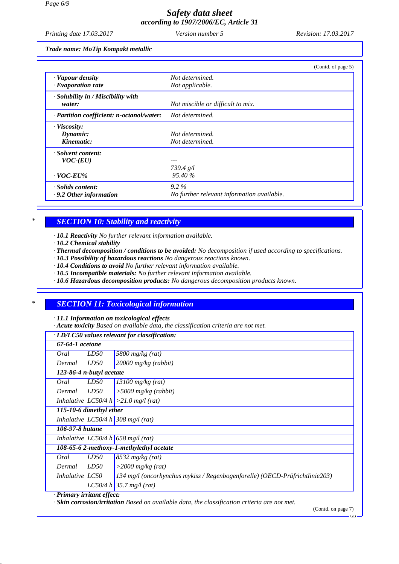*Printing date 17.03.2017 Version number 5 Revision: 17.03.2017*

*Trade name: MoTip Kompakt metallic*

|                                           | (Contd. of page 5)                         |
|-------------------------------------------|--------------------------------------------|
| · Vapour density                          | Not determined.                            |
| $\cdot$ Evaporation rate                  | Not applicable.                            |
| $\cdot$ Solubility in / Miscibility with  |                                            |
| water:                                    | Not miscible or difficult to mix.          |
| · Partition coefficient: n-octanol/water: | Not determined.                            |
| · Viscosity:                              |                                            |
| Dynamic:                                  | Not determined.                            |
| Kinematic:                                | Not determined.                            |
| · Solvent content:                        |                                            |
| $VOC$ - $(EU)$                            |                                            |
|                                           | 739.4 g/l                                  |
| $\cdot$ VOC-EU%                           | 95.40 %                                    |
| · Solids content:                         | $9.2\%$                                    |
| $\cdot$ 9.2 Other information             | No further relevant information available. |

## *\* SECTION 10: Stability and reactivity*

*· 10.1 Reactivity No further relevant information available.*

*· 10.2 Chemical stability*

 $\sqrt{ }$ 

- *· Thermal decomposition / conditions to be avoided: No decomposition if used according to specifications.*
- *· 10.3 Possibility of hazardous reactions No dangerous reactions known.*
- *· 10.4 Conditions to avoid No further relevant information available.*
- *· 10.5 Incompatible materials: No further relevant information available.*
- *· 10.6 Hazardous decomposition products: No dangerous decomposition products known.*

# *\* SECTION 11: Toxicological information*

*· 11.1 Information on toxicological effects*

*· Acute toxicity Based on available data, the classification criteria are not met.*

| $\cdot$ LD/LC50 values relevant for classification: |  |
|-----------------------------------------------------|--|
|-----------------------------------------------------|--|

| Oral              | LD50                     | 5800 mg/kg $(rat)$                                                          |
|-------------------|--------------------------|-----------------------------------------------------------------------------|
| Dermal            | LD50                     | $20000$ mg/kg (rabbit)                                                      |
|                   | 123-86-4 n-butyl acetate |                                                                             |
| Oral              | LD50                     | $13100$ mg/kg (rat)                                                         |
| Dermal            | LD50                     | $>$ 5000 mg/kg (rabbit)                                                     |
|                   |                          | Inhalative $ LCS0/4 h  > 21.0$ mg/l (rat)                                   |
|                   | 115-10-6 dimethyl ether  |                                                                             |
|                   |                          | Inhalative $LC50/4 h$ 308 mg/l (rat)                                        |
| 106-97-8 butane   |                          |                                                                             |
|                   |                          | Inhalative LC50/4 h 658 mg/l (rat)                                          |
|                   |                          | 108-65-6 2-methoxy-1-methylethyl acetate                                    |
| Oral              | LD50                     | $8532$ mg/kg (rat)                                                          |
| Dermal            | LD50                     | $>$ 2000 mg/kg (rat)                                                        |
| Inhalative $LC50$ |                          | 134 mg/l (oncorhynchus mykiss / Regenbogenforelle) (OECD-Prüfrichtlinie203) |
|                   |                          | LC50/4 h   35.7 mg/(rat)                                                    |

(Contd. on page 7)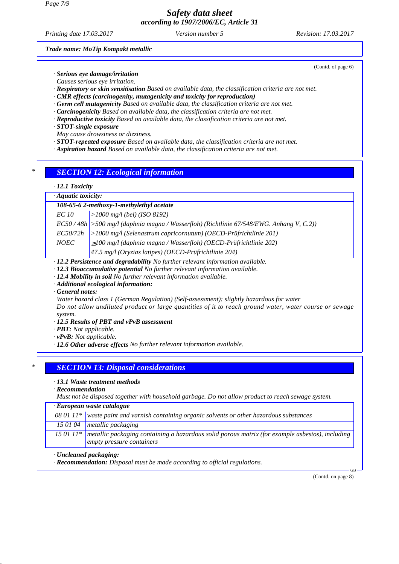*Printing date 17.03.2017 Version number 5 Revision: 17.03.2017*

(Contd. of page 6)

*Trade name: MoTip Kompakt metallic*

*· Serious eye damage/irritation*

- *Causes serious eye irritation.*
- *· Respiratory or skin sensitisation Based on available data, the classification criteria are not met.*
- *· CMR effects (carcinogenity, mutagenicity and toxicity for reproduction)*
- *· Germ cell mutagenicity Based on available data, the classification criteria are not met.*
- *· Carcinogenicity Based on available data, the classification criteria are not met.*
- *· Reproductive toxicity Based on available data, the classification criteria are not met.*
- *· STOT-single exposure*

*May cause drowsiness or dizziness.*

- *· STOT-repeated exposure Based on available data, the classification criteria are not met.*
- *· Aspiration hazard Based on available data, the classification criteria are not met.*

## *\* SECTION 12: Ecological information*

#### *· 12.1 Toxicity*

*· Aquatic toxicity:*

| 108-65-6 2-methoxy-1-methylethyl acetate |                                                                                            |  |
|------------------------------------------|--------------------------------------------------------------------------------------------|--|
| EC 10                                    | >1000 mg/l (bel) (ISO 8192)                                                                |  |
|                                          | $EC50/48h$ > 500 mg/l (daphnia magna / Wasserfloh) (Richtlinie 67/548/EWG. Anhang V, C.2)) |  |
| EC50/72h                                 | $ >1000$ mg/l (Selenastrum capricornutum) (OECD-Prüfrichtlinie 201)                        |  |
| <i>NOEC</i>                              | $\geq$ 100 mg/l (daphnia magna / Wasserfloh) (OECD-Prüfrichtlinie 202)                     |  |
|                                          | $47.5$ mg/l (Oryzias latipes) (OECD-Prüfrichtlinie 204)                                    |  |
|                                          |                                                                                            |  |

*· 12.2 Persistence and degradability No further relevant information available.*

- *· 12.3 Bioaccumulative potential No further relevant information available.*
- *· 12.4 Mobility in soil No further relevant information available.*
- *· Additional ecological information:*
- *· General notes:*
- *Water hazard class 1 (German Regulation) (Self-assessment): slightly hazardous for water*

*Do not allow undiluted product or large quantities of it to reach ground water, water course or sewage system.*

- *· 12.5 Results of PBT and vPvB assessment*
- *· PBT: Not applicable.*
- *· vPvB: Not applicable.*
- *· 12.6 Other adverse effects No further relevant information available.*

#### *\* SECTION 13: Disposal considerations*

*· 13.1 Waste treatment methods*

*· Recommendation*

*Must not be disposed together with household garbage. Do not allow product to reach sewage system.*

|  | · European waste catalogue |
|--|----------------------------|
|--|----------------------------|

| $080111*$ waste paint and varnish containing organic solvents or other hazardous substances |
|---------------------------------------------------------------------------------------------|
| 15 01 04 metallic packaging                                                                 |

*15 01 11\* metallic packaging containing a hazardous solid porous matrix (for example asbestos), including empty pressure containers*

#### *· Uncleaned packaging:*

*· Recommendation: Disposal must be made according to official regulations.*

(Contd. on page 8)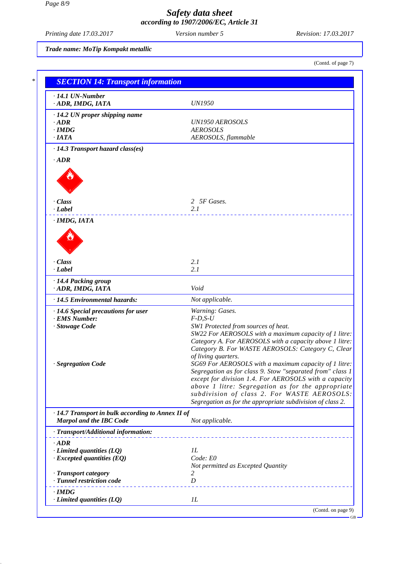*Printing date 17.03.2017 Version number 5 Revision: 17.03.2017*

*Trade name: MoTip Kompakt metallic*

(Contd. of page 7)

| $\cdot$ 14.1 UN-Number<br>ADR, IMDG, IATA                                                 | <b>UN1950</b>                                                                                                                                                                                                                                                                                                                                 |
|-------------------------------------------------------------------------------------------|-----------------------------------------------------------------------------------------------------------------------------------------------------------------------------------------------------------------------------------------------------------------------------------------------------------------------------------------------|
| $\cdot$ 14.2 UN proper shipping name                                                      |                                                                                                                                                                                                                                                                                                                                               |
| $-ADR$                                                                                    | <b>UN1950 AEROSOLS</b>                                                                                                                                                                                                                                                                                                                        |
| $\cdot$ IMDG<br>$\cdot$ IATA                                                              | <b>AEROSOLS</b>                                                                                                                                                                                                                                                                                                                               |
| · 14.3 Transport hazard class(es)                                                         | AEROSOLS, flammable                                                                                                                                                                                                                                                                                                                           |
| $\cdot$ ADR                                                                               |                                                                                                                                                                                                                                                                                                                                               |
|                                                                                           |                                                                                                                                                                                                                                                                                                                                               |
| $\cdot$ Class                                                                             | 2 5F Gases.                                                                                                                                                                                                                                                                                                                                   |
| $\cdot$ <i>Label</i>                                                                      | 2.1                                                                                                                                                                                                                                                                                                                                           |
| · IMDG, IATA                                                                              |                                                                                                                                                                                                                                                                                                                                               |
| · Class<br>$\cdot$ Label                                                                  | 2.1<br>2.1                                                                                                                                                                                                                                                                                                                                    |
|                                                                                           |                                                                                                                                                                                                                                                                                                                                               |
| · 14.4 Packing group<br>ADR, IMDG, IATA                                                   | Void                                                                                                                                                                                                                                                                                                                                          |
| · 14.5 Environmental hazards:                                                             | Not applicable.                                                                                                                                                                                                                                                                                                                               |
| $\cdot$ 14.6 Special precautions for user                                                 | Warning: Gases.                                                                                                                                                                                                                                                                                                                               |
| · EMS Number:                                                                             | $F$ -D,S-U                                                                                                                                                                                                                                                                                                                                    |
| · Stowage Code                                                                            | SW1 Protected from sources of heat.<br>SW22 For AEROSOLS with a maximum capacity of 1 litre:<br>Category A. For AEROSOLS with a capacity above 1 litre:<br>Category B. For WASTE AEROSOLS: Category C, Clear<br>of living quarters.                                                                                                           |
| · Segregation Code                                                                        | SG69 For AEROSOLS with a maximum capacity of 1 litre:<br>Segregation as for class 9. Stow "separated from" class 1<br>except for division 1.4. For AEROSOLS with a capacity<br>above 1 litre: Segregation as for the appropriate<br>subdivision of class 2. For WASTE AEROSOLS:<br>Segregation as for the appropriate subdivision of class 2. |
| $\cdot$ 14.7 Transport in bulk according to Annex II of<br><b>Marpol and the IBC Code</b> | Not applicable.                                                                                                                                                                                                                                                                                                                               |
| · Transport/Additional information:                                                       |                                                                                                                                                                                                                                                                                                                                               |
| $\cdot$ ADR                                                                               |                                                                                                                                                                                                                                                                                                                                               |
| $\cdot$ Limited quantities (LQ)                                                           | 1L                                                                                                                                                                                                                                                                                                                                            |
| $\cdot$ Excepted quantities (EQ)                                                          | Code: E0                                                                                                                                                                                                                                                                                                                                      |
|                                                                                           | Not permitted as Excepted Quantity<br>2                                                                                                                                                                                                                                                                                                       |
| · Transport category<br>· Tunnel restriction code                                         | D                                                                                                                                                                                                                                                                                                                                             |
|                                                                                           |                                                                                                                                                                                                                                                                                                                                               |
| $\cdot$ IMDG<br>$\cdot$ Limited quantities (LQ)                                           | IL                                                                                                                                                                                                                                                                                                                                            |
|                                                                                           |                                                                                                                                                                                                                                                                                                                                               |